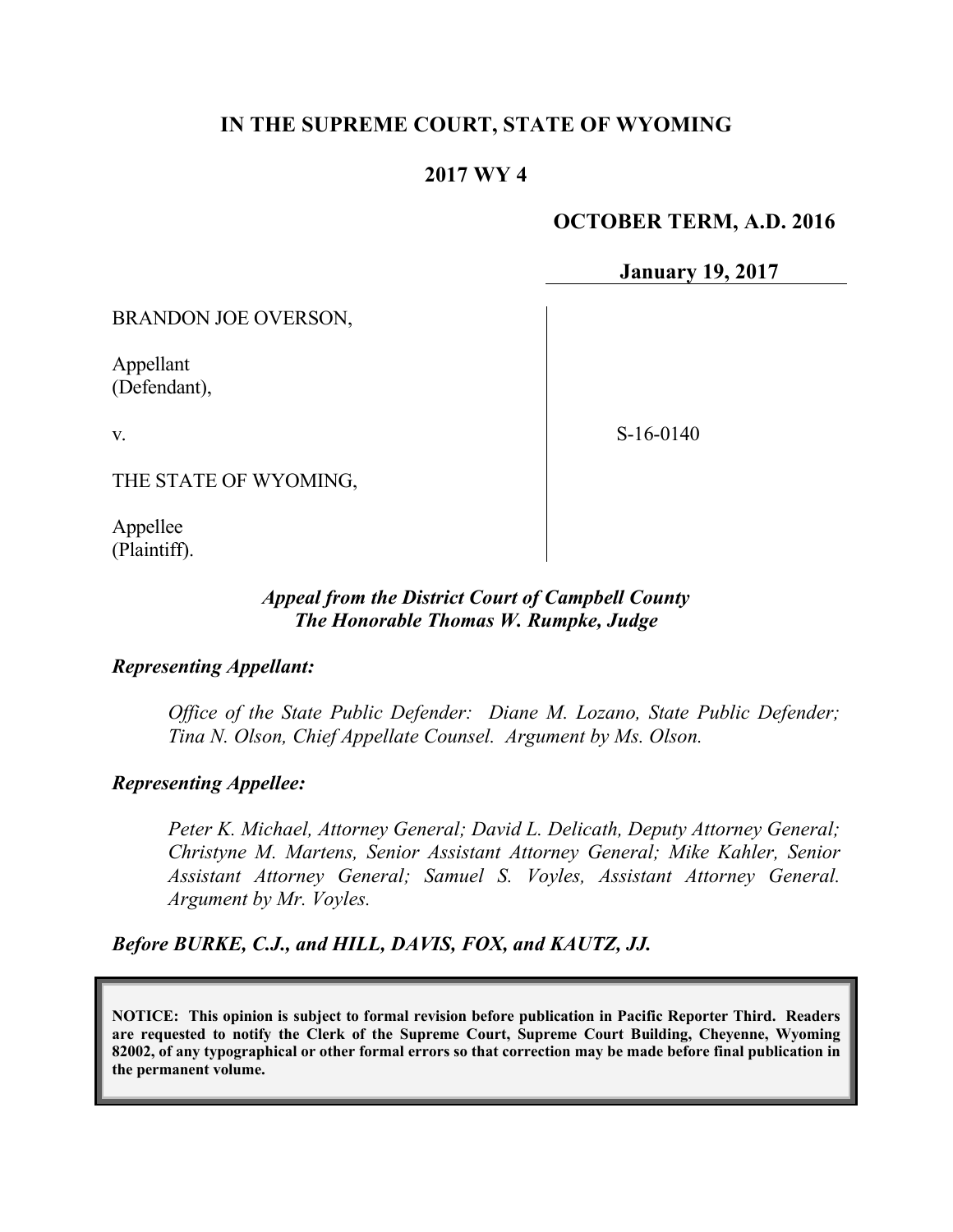# **IN THE SUPREME COURT, STATE OF WYOMING**

# **2017 WY 4**

### **OCTOBER TERM, A.D. 2016**

**January 19, 2017**

BRANDON JOE OVERSON,

Appellant (Defendant),

v.

S-16-0140

THE STATE OF WYOMING,

Appellee (Plaintiff).

## *Appeal from the District Court of Campbell County The Honorable Thomas W. Rumpke, Judge*

#### *Representing Appellant:*

*Office of the State Public Defender: Diane M. Lozano, State Public Defender; Tina N. Olson, Chief Appellate Counsel. Argument by Ms. Olson.*

#### *Representing Appellee:*

*Peter K. Michael, Attorney General; David L. Delicath, Deputy Attorney General; Christyne M. Martens, Senior Assistant Attorney General; Mike Kahler, Senior Assistant Attorney General; Samuel S. Voyles, Assistant Attorney General. Argument by Mr. Voyles.*

*Before BURKE, C.J., and HILL, DAVIS, FOX, and KAUTZ, JJ.*

**NOTICE: This opinion is subject to formal revision before publication in Pacific Reporter Third. Readers are requested to notify the Clerk of the Supreme Court, Supreme Court Building, Cheyenne, Wyoming 82002, of any typographical or other formal errors so that correction may be made before final publication in the permanent volume.**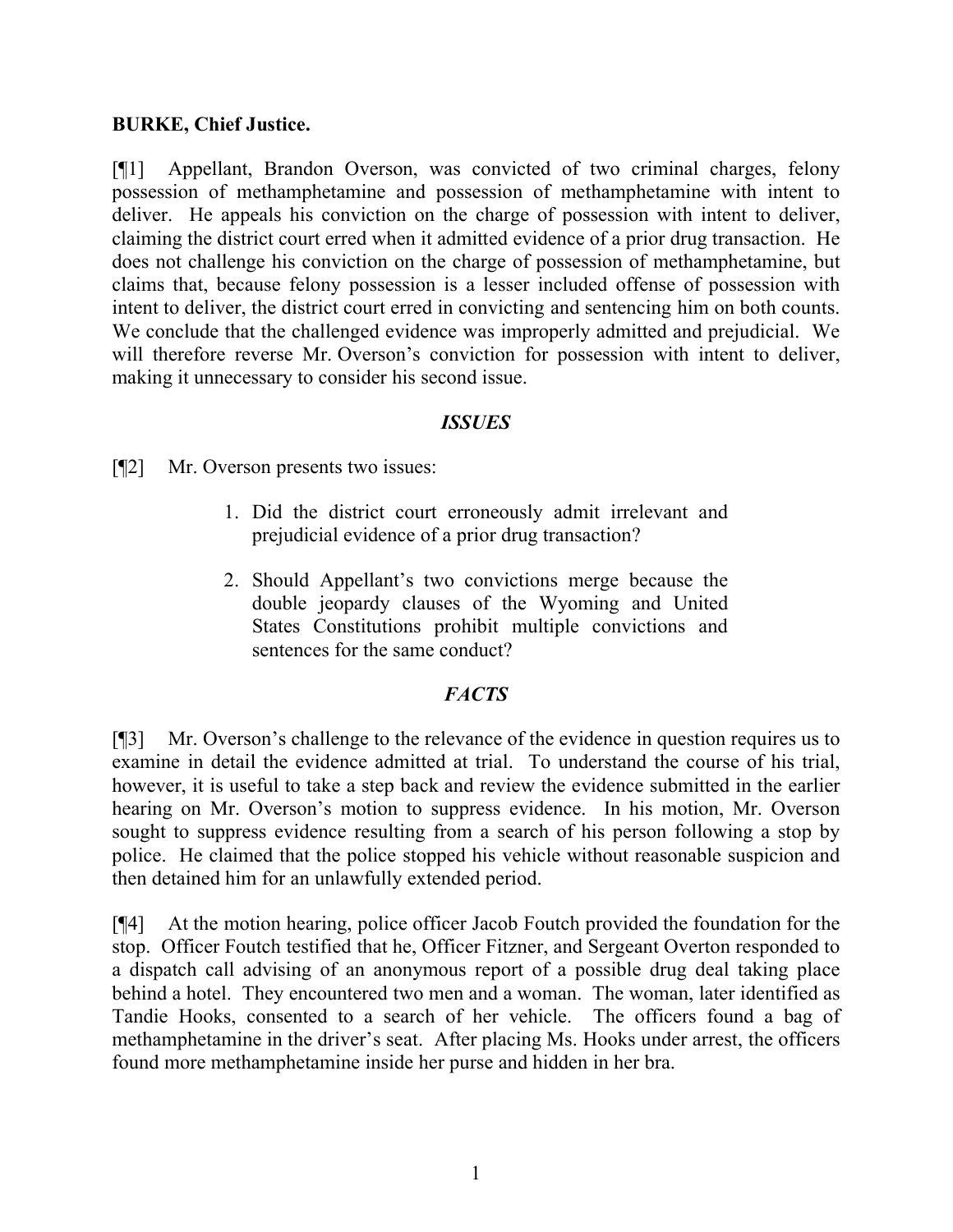# **BURKE, Chief Justice.**

[¶1] Appellant, Brandon Overson, was convicted of two criminal charges, felony possession of methamphetamine and possession of methamphetamine with intent to deliver. He appeals his conviction on the charge of possession with intent to deliver, claiming the district court erred when it admitted evidence of a prior drug transaction. He does not challenge his conviction on the charge of possession of methamphetamine, but claims that, because felony possession is a lesser included offense of possession with intent to deliver, the district court erred in convicting and sentencing him on both counts. We conclude that the challenged evidence was improperly admitted and prejudicial. We will therefore reverse Mr. Overson's conviction for possession with intent to deliver, making it unnecessary to consider his second issue.

## *ISSUES*

[¶2] Mr. Overson presents two issues:

- 1. Did the district court erroneously admit irrelevant and prejudicial evidence of a prior drug transaction?
- 2. Should Appellant's two convictions merge because the double jeopardy clauses of the Wyoming and United States Constitutions prohibit multiple convictions and sentences for the same conduct?

# *FACTS*

[¶3] Mr. Overson's challenge to the relevance of the evidence in question requires us to examine in detail the evidence admitted at trial. To understand the course of his trial, however, it is useful to take a step back and review the evidence submitted in the earlier hearing on Mr. Overson's motion to suppress evidence. In his motion, Mr. Overson sought to suppress evidence resulting from a search of his person following a stop by police. He claimed that the police stopped his vehicle without reasonable suspicion and then detained him for an unlawfully extended period.

[¶4] At the motion hearing, police officer Jacob Foutch provided the foundation for the stop. Officer Foutch testified that he, Officer Fitzner, and Sergeant Overton responded to a dispatch call advising of an anonymous report of a possible drug deal taking place behind a hotel. They encountered two men and a woman. The woman, later identified as Tandie Hooks, consented to a search of her vehicle. The officers found a bag of methamphetamine in the driver's seat. After placing Ms. Hooks under arrest, the officers found more methamphetamine inside her purse and hidden in her bra.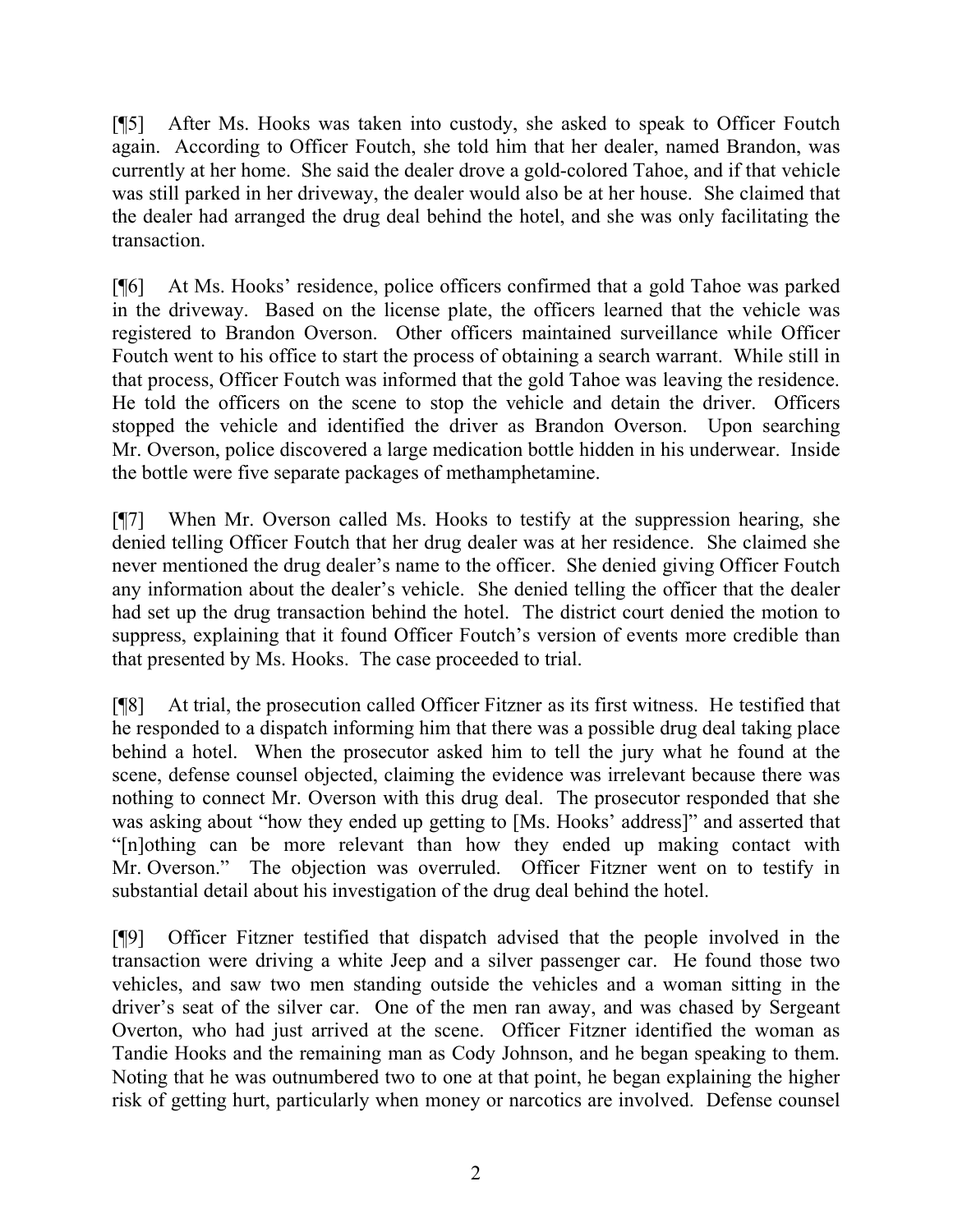[¶5] After Ms. Hooks was taken into custody, she asked to speak to Officer Foutch again. According to Officer Foutch, she told him that her dealer, named Brandon, was currently at her home. She said the dealer drove a gold-colored Tahoe, and if that vehicle was still parked in her driveway, the dealer would also be at her house. She claimed that the dealer had arranged the drug deal behind the hotel, and she was only facilitating the transaction.

[¶6] At Ms. Hooks' residence, police officers confirmed that a gold Tahoe was parked in the driveway. Based on the license plate, the officers learned that the vehicle was registered to Brandon Overson. Other officers maintained surveillance while Officer Foutch went to his office to start the process of obtaining a search warrant. While still in that process, Officer Foutch was informed that the gold Tahoe was leaving the residence. He told the officers on the scene to stop the vehicle and detain the driver. Officers stopped the vehicle and identified the driver as Brandon Overson. Upon searching Mr. Overson, police discovered a large medication bottle hidden in his underwear. Inside the bottle were five separate packages of methamphetamine.

[¶7] When Mr. Overson called Ms. Hooks to testify at the suppression hearing, she denied telling Officer Foutch that her drug dealer was at her residence. She claimed she never mentioned the drug dealer's name to the officer. She denied giving Officer Foutch any information about the dealer's vehicle. She denied telling the officer that the dealer had set up the drug transaction behind the hotel. The district court denied the motion to suppress, explaining that it found Officer Foutch's version of events more credible than that presented by Ms. Hooks. The case proceeded to trial.

[¶8] At trial, the prosecution called Officer Fitzner as its first witness. He testified that he responded to a dispatch informing him that there was a possible drug deal taking place behind a hotel. When the prosecutor asked him to tell the jury what he found at the scene, defense counsel objected, claiming the evidence was irrelevant because there was nothing to connect Mr. Overson with this drug deal. The prosecutor responded that she was asking about "how they ended up getting to [Ms. Hooks' address]" and asserted that "[n]othing can be more relevant than how they ended up making contact with Mr. Overson." The objection was overruled. Officer Fitzner went on to testify in substantial detail about his investigation of the drug deal behind the hotel.

[¶9] Officer Fitzner testified that dispatch advised that the people involved in the transaction were driving a white Jeep and a silver passenger car. He found those two vehicles, and saw two men standing outside the vehicles and a woman sitting in the driver's seat of the silver car. One of the men ran away, and was chased by Sergeant Overton, who had just arrived at the scene. Officer Fitzner identified the woman as Tandie Hooks and the remaining man as Cody Johnson, and he began speaking to them. Noting that he was outnumbered two to one at that point, he began explaining the higher risk of getting hurt, particularly when money or narcotics are involved. Defense counsel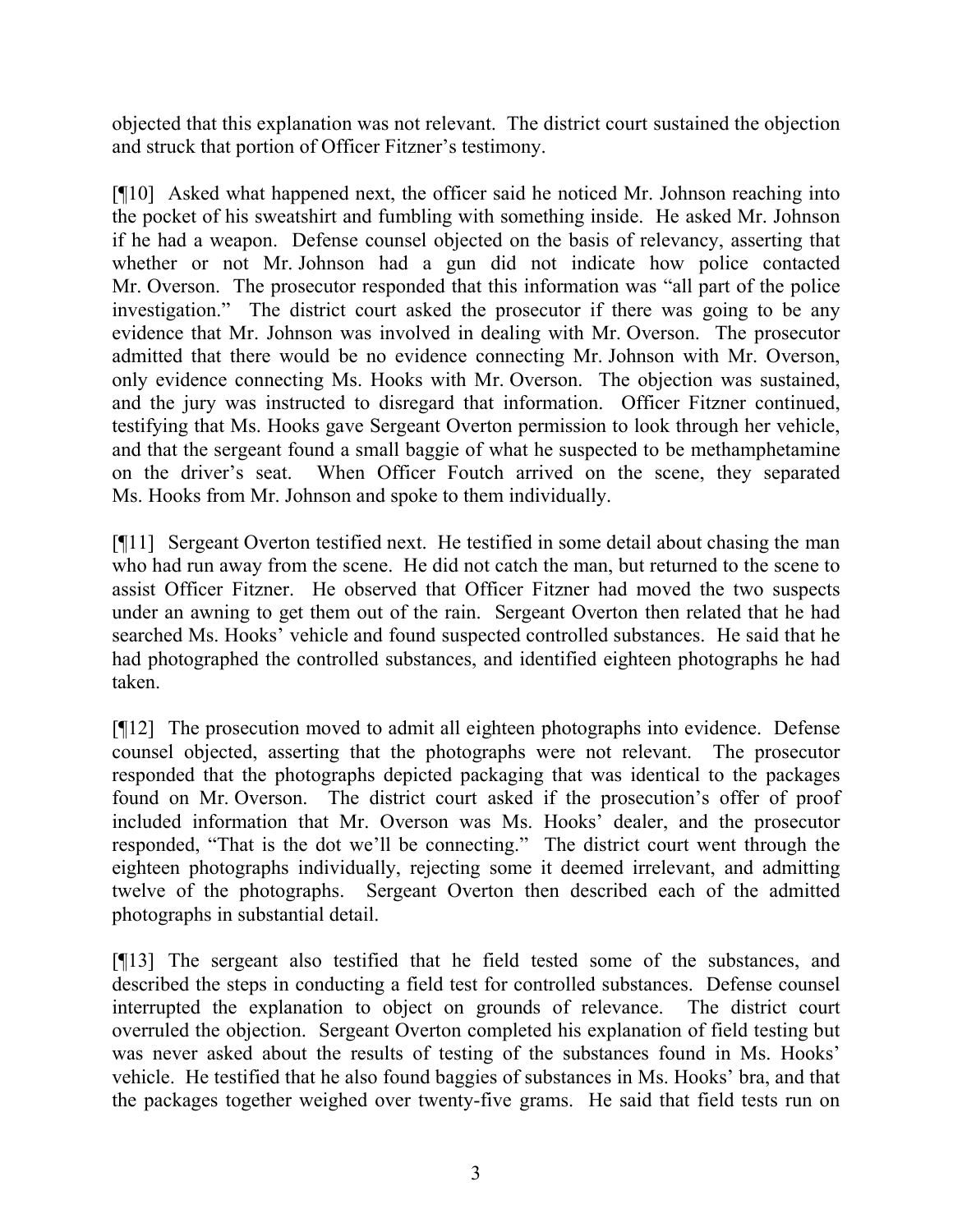objected that this explanation was not relevant. The district court sustained the objection and struck that portion of Officer Fitzner's testimony.

[¶10] Asked what happened next, the officer said he noticed Mr. Johnson reaching into the pocket of his sweatshirt and fumbling with something inside. He asked Mr. Johnson if he had a weapon. Defense counsel objected on the basis of relevancy, asserting that whether or not Mr. Johnson had a gun did not indicate how police contacted Mr. Overson. The prosecutor responded that this information was "all part of the police investigation." The district court asked the prosecutor if there was going to be any evidence that Mr. Johnson was involved in dealing with Mr. Overson. The prosecutor admitted that there would be no evidence connecting Mr. Johnson with Mr. Overson, only evidence connecting Ms. Hooks with Mr. Overson. The objection was sustained, and the jury was instructed to disregard that information. Officer Fitzner continued, testifying that Ms. Hooks gave Sergeant Overton permission to look through her vehicle, and that the sergeant found a small baggie of what he suspected to be methamphetamine on the driver's seat. When Officer Foutch arrived on the scene, they separated Ms. Hooks from Mr. Johnson and spoke to them individually.

[¶11] Sergeant Overton testified next. He testified in some detail about chasing the man who had run away from the scene. He did not catch the man, but returned to the scene to assist Officer Fitzner. He observed that Officer Fitzner had moved the two suspects under an awning to get them out of the rain. Sergeant Overton then related that he had searched Ms. Hooks' vehicle and found suspected controlled substances. He said that he had photographed the controlled substances, and identified eighteen photographs he had taken.

[¶12] The prosecution moved to admit all eighteen photographs into evidence. Defense counsel objected, asserting that the photographs were not relevant. The prosecutor responded that the photographs depicted packaging that was identical to the packages found on Mr. Overson. The district court asked if the prosecution's offer of proof included information that Mr. Overson was Ms. Hooks' dealer, and the prosecutor responded, "That is the dot we'll be connecting." The district court went through the eighteen photographs individually, rejecting some it deemed irrelevant, and admitting twelve of the photographs. Sergeant Overton then described each of the admitted photographs in substantial detail.

[¶13] The sergeant also testified that he field tested some of the substances, and described the steps in conducting a field test for controlled substances. Defense counsel interrupted the explanation to object on grounds of relevance. The district court overruled the objection. Sergeant Overton completed his explanation of field testing but was never asked about the results of testing of the substances found in Ms. Hooks' vehicle. He testified that he also found baggies of substances in Ms. Hooks' bra, and that the packages together weighed over twenty-five grams. He said that field tests run on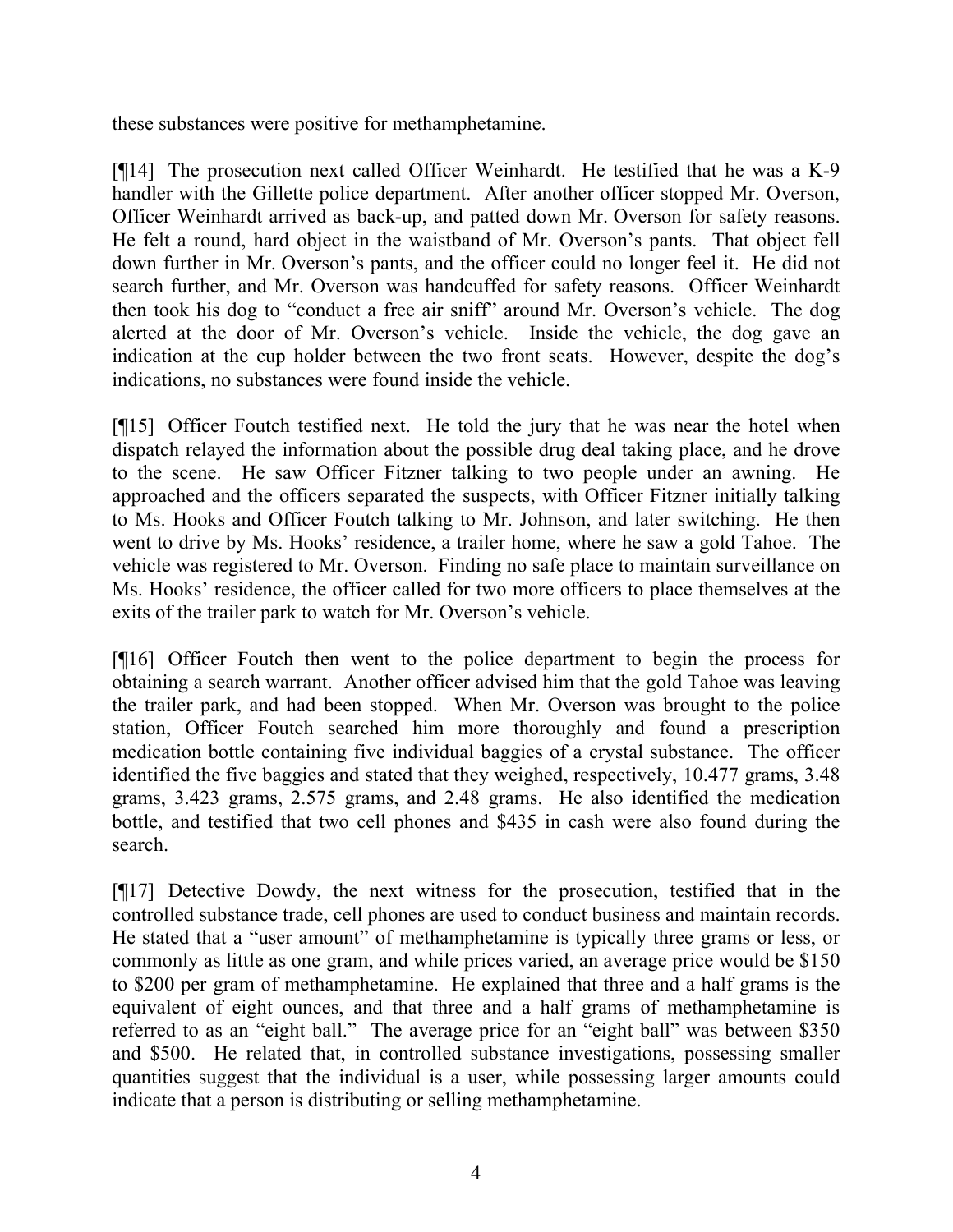these substances were positive for methamphetamine.

[¶14] The prosecution next called Officer Weinhardt. He testified that he was a K-9 handler with the Gillette police department. After another officer stopped Mr. Overson, Officer Weinhardt arrived as back-up, and patted down Mr. Overson for safety reasons. He felt a round, hard object in the waistband of Mr. Overson's pants. That object fell down further in Mr. Overson's pants, and the officer could no longer feel it. He did not search further, and Mr. Overson was handcuffed for safety reasons. Officer Weinhardt then took his dog to "conduct a free air sniff" around Mr. Overson's vehicle. The dog alerted at the door of Mr. Overson's vehicle. Inside the vehicle, the dog gave an indication at the cup holder between the two front seats. However, despite the dog's indications, no substances were found inside the vehicle.

[¶15] Officer Foutch testified next. He told the jury that he was near the hotel when dispatch relayed the information about the possible drug deal taking place, and he drove to the scene. He saw Officer Fitzner talking to two people under an awning. He approached and the officers separated the suspects, with Officer Fitzner initially talking to Ms. Hooks and Officer Foutch talking to Mr. Johnson, and later switching. He then went to drive by Ms. Hooks' residence, a trailer home, where he saw a gold Tahoe. The vehicle was registered to Mr. Overson. Finding no safe place to maintain surveillance on Ms. Hooks' residence, the officer called for two more officers to place themselves at the exits of the trailer park to watch for Mr. Overson's vehicle.

[¶16] Officer Foutch then went to the police department to begin the process for obtaining a search warrant. Another officer advised him that the gold Tahoe was leaving the trailer park, and had been stopped. When Mr. Overson was brought to the police station, Officer Foutch searched him more thoroughly and found a prescription medication bottle containing five individual baggies of a crystal substance. The officer identified the five baggies and stated that they weighed, respectively, 10.477 grams, 3.48 grams, 3.423 grams, 2.575 grams, and 2.48 grams. He also identified the medication bottle, and testified that two cell phones and \$435 in cash were also found during the search.

[¶17] Detective Dowdy, the next witness for the prosecution, testified that in the controlled substance trade, cell phones are used to conduct business and maintain records. He stated that a "user amount" of methamphetamine is typically three grams or less, or commonly as little as one gram, and while prices varied, an average price would be \$150 to \$200 per gram of methamphetamine. He explained that three and a half grams is the equivalent of eight ounces, and that three and a half grams of methamphetamine is referred to as an "eight ball." The average price for an "eight ball" was between \$350 and \$500. He related that, in controlled substance investigations, possessing smaller quantities suggest that the individual is a user, while possessing larger amounts could indicate that a person is distributing or selling methamphetamine.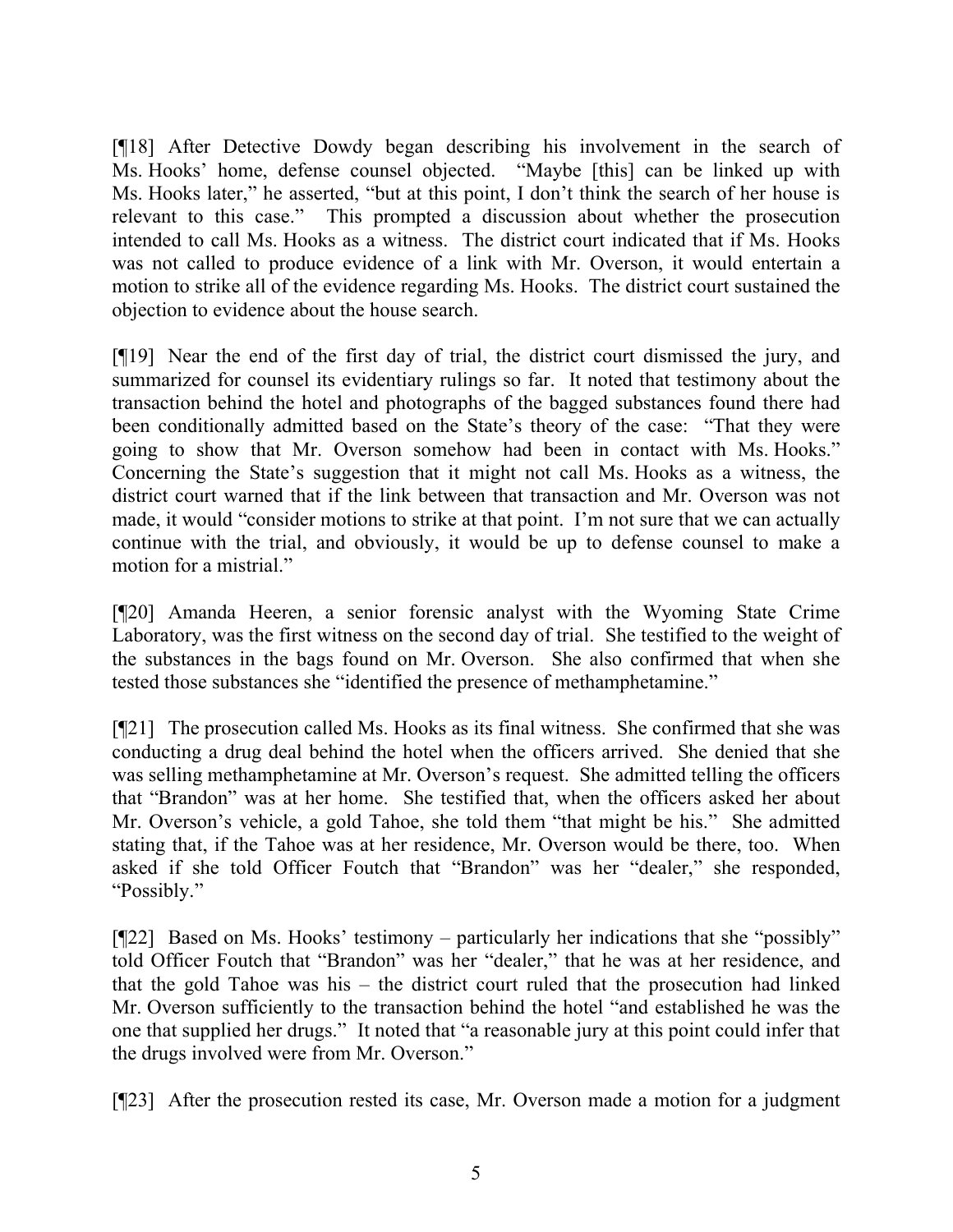[¶18] After Detective Dowdy began describing his involvement in the search of Ms. Hooks' home, defense counsel objected. "Maybe [this] can be linked up with Ms. Hooks later," he asserted, "but at this point, I don't think the search of her house is relevant to this case." This prompted a discussion about whether the prosecution intended to call Ms. Hooks as a witness. The district court indicated that if Ms. Hooks was not called to produce evidence of a link with Mr. Overson, it would entertain a motion to strike all of the evidence regarding Ms. Hooks. The district court sustained the objection to evidence about the house search.

[¶19] Near the end of the first day of trial, the district court dismissed the jury, and summarized for counsel its evidentiary rulings so far. It noted that testimony about the transaction behind the hotel and photographs of the bagged substances found there had been conditionally admitted based on the State's theory of the case: "That they were going to show that Mr. Overson somehow had been in contact with Ms. Hooks." Concerning the State's suggestion that it might not call Ms. Hooks as a witness, the district court warned that if the link between that transaction and Mr. Overson was not made, it would "consider motions to strike at that point. I'm not sure that we can actually continue with the trial, and obviously, it would be up to defense counsel to make a motion for a mistrial."

[¶20] Amanda Heeren, a senior forensic analyst with the Wyoming State Crime Laboratory, was the first witness on the second day of trial. She testified to the weight of the substances in the bags found on Mr. Overson. She also confirmed that when she tested those substances she "identified the presence of methamphetamine."

[¶21] The prosecution called Ms. Hooks as its final witness. She confirmed that she was conducting a drug deal behind the hotel when the officers arrived. She denied that she was selling methamphetamine at Mr. Overson's request. She admitted telling the officers that "Brandon" was at her home. She testified that, when the officers asked her about Mr. Overson's vehicle, a gold Tahoe, she told them "that might be his." She admitted stating that, if the Tahoe was at her residence, Mr. Overson would be there, too. When asked if she told Officer Foutch that "Brandon" was her "dealer," she responded, "Possibly."

[¶22] Based on Ms. Hooks' testimony – particularly her indications that she "possibly" told Officer Foutch that "Brandon" was her "dealer," that he was at her residence, and that the gold Tahoe was his – the district court ruled that the prosecution had linked Mr. Overson sufficiently to the transaction behind the hotel "and established he was the one that supplied her drugs." It noted that "a reasonable jury at this point could infer that the drugs involved were from Mr. Overson."

[¶23] After the prosecution rested its case, Mr. Overson made a motion for a judgment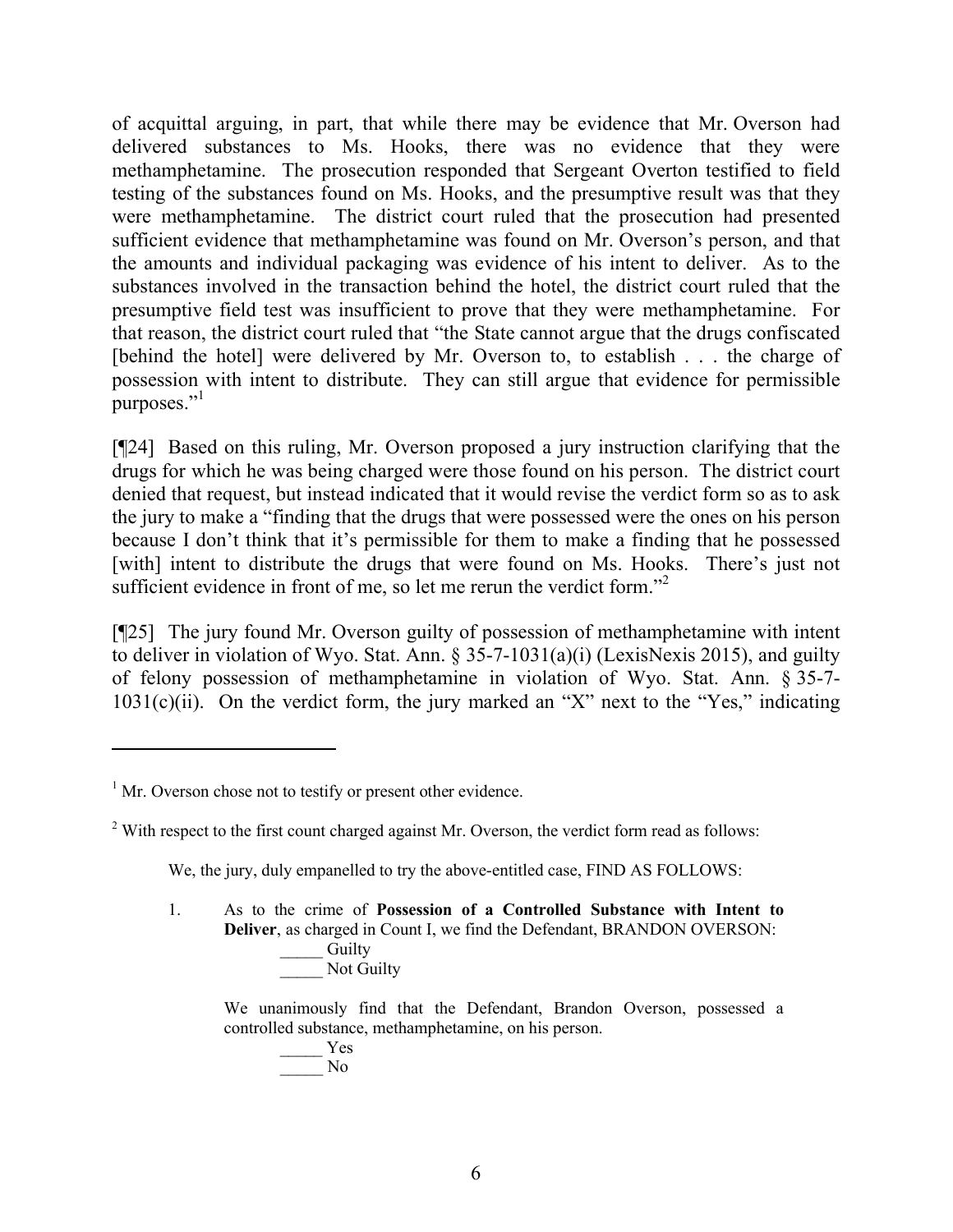of acquittal arguing, in part, that while there may be evidence that Mr. Overson had delivered substances to Ms. Hooks, there was no evidence that they were methamphetamine. The prosecution responded that Sergeant Overton testified to field testing of the substances found on Ms. Hooks, and the presumptive result was that they were methamphetamine. The district court ruled that the prosecution had presented sufficient evidence that methamphetamine was found on Mr. Overson's person, and that the amounts and individual packaging was evidence of his intent to deliver. As to the substances involved in the transaction behind the hotel, the district court ruled that the presumptive field test was insufficient to prove that they were methamphetamine. For that reason, the district court ruled that "the State cannot argue that the drugs confiscated [behind the hotel] were delivered by Mr. Overson to, to establish . . . the charge of possession with intent to distribute. They can still argue that evidence for permissible purposes."<sup>1</sup>

[¶24] Based on this ruling, Mr. Overson proposed a jury instruction clarifying that the drugs for which he was being charged were those found on his person. The district court denied that request, but instead indicated that it would revise the verdict form so as to ask the jury to make a "finding that the drugs that were possessed were the ones on his person because I don't think that it's permissible for them to make a finding that he possessed [with] intent to distribute the drugs that were found on Ms. Hooks. There's just not sufficient evidence in front of me, so let me rerun the verdict form.<sup>"2</sup>

[¶25] The jury found Mr. Overson guilty of possession of methamphetamine with intent to deliver in violation of Wyo. Stat. Ann. § 35-7-1031(a)(i) (LexisNexis 2015), and guilty of felony possession of methamphetamine in violation of Wyo. Stat. Ann. § 35-7-  $1031(c)(ii)$ . On the verdict form, the jury marked an "X" next to the "Yes," indicating

 $\overline{a}$ 

We, the jury, duly empanelled to try the above-entitled case, FIND AS FOLLOWS:

1. As to the crime of **Possession of a Controlled Substance with Intent to Deliver**, as charged in Count I, we find the Defendant, BRANDON OVERSON: Guilty Not Guilty

We unanimously find that the Defendant, Brandon Overson, possessed a controlled substance, methamphetamine, on his person.

> \_\_\_\_\_ Yes  $\overline{N}$

 $<sup>1</sup>$  Mr. Overson chose not to testify or present other evidence.</sup>

 $2$  With respect to the first count charged against Mr. Overson, the verdict form read as follows: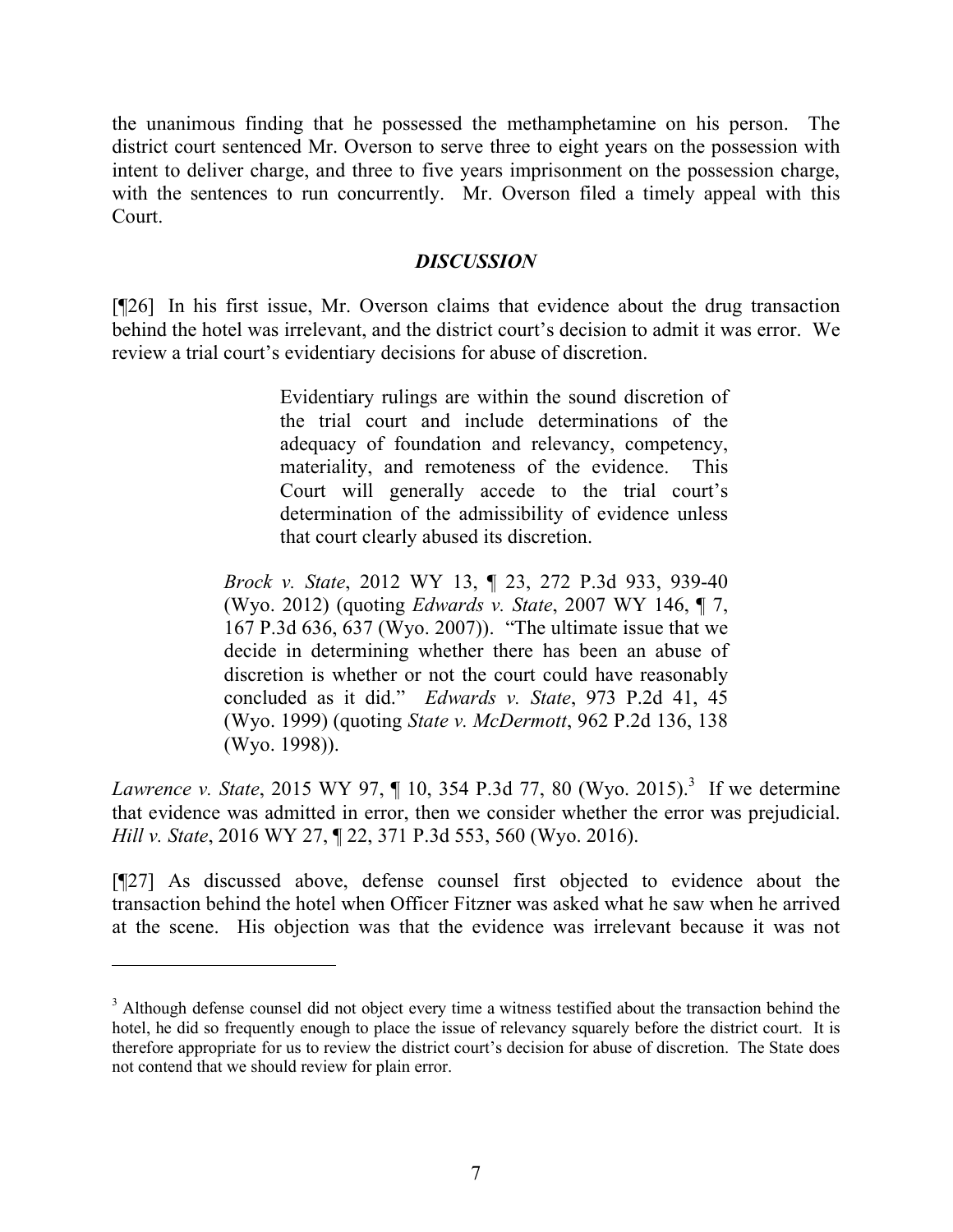the unanimous finding that he possessed the methamphetamine on his person. The district court sentenced Mr. Overson to serve three to eight years on the possession with intent to deliver charge, and three to five years imprisonment on the possession charge, with the sentences to run concurrently. Mr. Overson filed a timely appeal with this Court.

### *DISCUSSION*

[¶26] In his first issue, Mr. Overson claims that evidence about the drug transaction behind the hotel was irrelevant, and the district court's decision to admit it was error. We review a trial court's evidentiary decisions for abuse of discretion.

> Evidentiary rulings are within the sound discretion of the trial court and include determinations of the adequacy of foundation and relevancy, competency, materiality, and remoteness of the evidence. This Court will generally accede to the trial court's determination of the admissibility of evidence unless that court clearly abused its discretion.

*Brock v. State*, 2012 WY 13, ¶ 23, 272 P.3d 933, 939-40 (Wyo. 2012) (quoting *Edwards v. State*, 2007 WY 146, ¶ 7, 167 P.3d 636, 637 (Wyo. 2007)). "The ultimate issue that we decide in determining whether there has been an abuse of discretion is whether or not the court could have reasonably concluded as it did." *Edwards v. State*, 973 P.2d 41, 45 (Wyo. 1999) (quoting *State v. McDermott*, 962 P.2d 136, 138 (Wyo. 1998)).

*Lawrence v. State*, 2015 WY 97, ¶ 10, 354 P.3d 77, 80 (Wyo. 2015).<sup>3</sup> If we determine that evidence was admitted in error, then we consider whether the error was prejudicial. *Hill v. State*, 2016 WY 27, ¶ 22, 371 P.3d 553, 560 (Wyo. 2016).

[¶27] As discussed above, defense counsel first objected to evidence about the transaction behind the hotel when Officer Fitzner was asked what he saw when he arrived at the scene. His objection was that the evidence was irrelevant because it was not

<sup>&</sup>lt;sup>3</sup> Although defense counsel did not object every time a witness testified about the transaction behind the hotel, he did so frequently enough to place the issue of relevancy squarely before the district court. It is therefore appropriate for us to review the district court's decision for abuse of discretion. The State does not contend that we should review for plain error.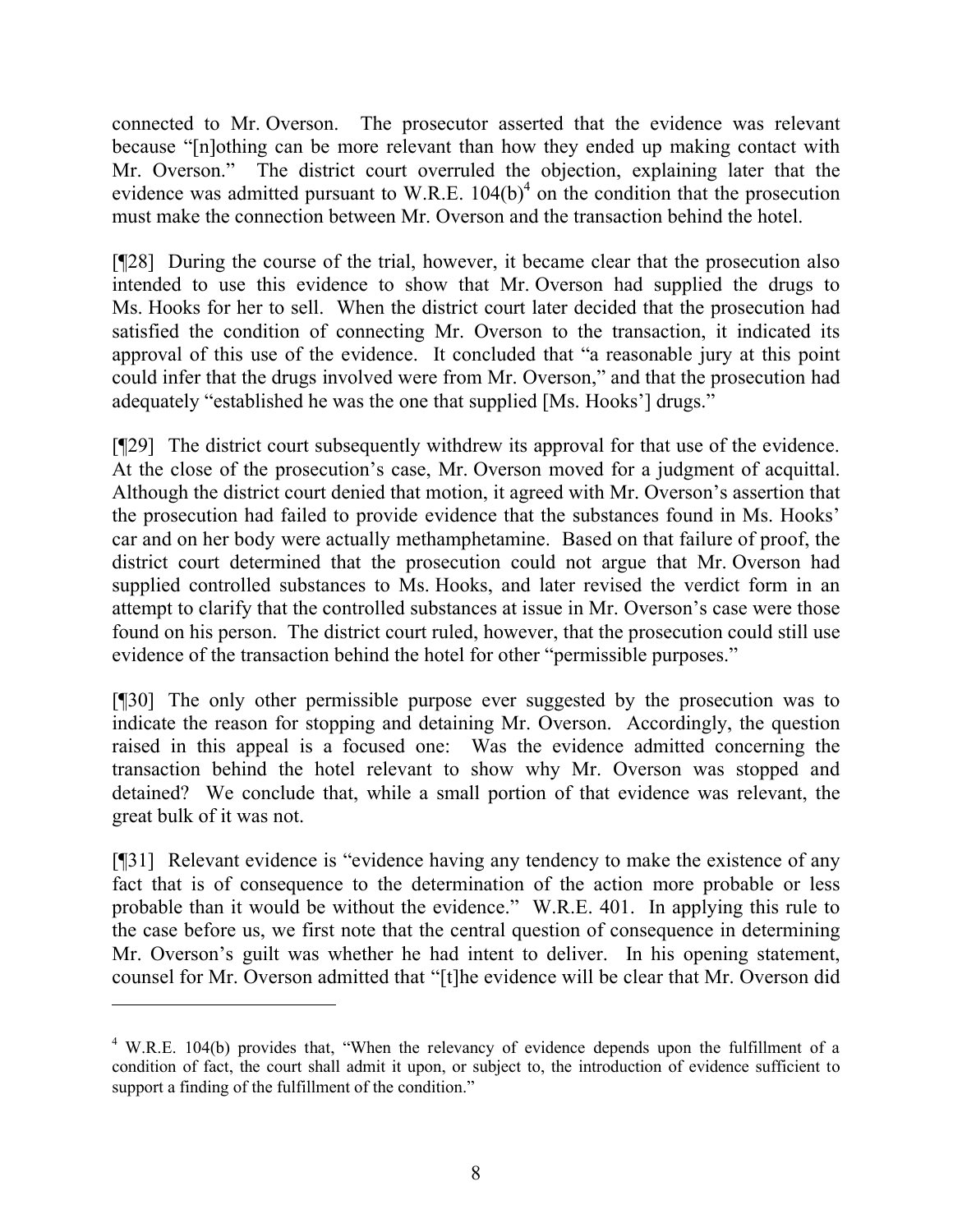connected to Mr. Overson. The prosecutor asserted that the evidence was relevant because "[n]othing can be more relevant than how they ended up making contact with Mr. Overson." The district court overruled the objection, explaining later that the evidence was admitted pursuant to W.R.E.  $104(b)^4$  on the condition that the prosecution must make the connection between Mr. Overson and the transaction behind the hotel.

[¶28] During the course of the trial, however, it became clear that the prosecution also intended to use this evidence to show that Mr. Overson had supplied the drugs to Ms. Hooks for her to sell. When the district court later decided that the prosecution had satisfied the condition of connecting Mr. Overson to the transaction, it indicated its approval of this use of the evidence. It concluded that "a reasonable jury at this point could infer that the drugs involved were from Mr. Overson," and that the prosecution had adequately "established he was the one that supplied [Ms. Hooks'] drugs."

[¶29] The district court subsequently withdrew its approval for that use of the evidence. At the close of the prosecution's case, Mr. Overson moved for a judgment of acquittal. Although the district court denied that motion, it agreed with Mr. Overson's assertion that the prosecution had failed to provide evidence that the substances found in Ms. Hooks' car and on her body were actually methamphetamine. Based on that failure of proof, the district court determined that the prosecution could not argue that Mr. Overson had supplied controlled substances to Ms. Hooks, and later revised the verdict form in an attempt to clarify that the controlled substances at issue in Mr. Overson's case were those found on his person. The district court ruled, however, that the prosecution could still use evidence of the transaction behind the hotel for other "permissible purposes."

[¶30] The only other permissible purpose ever suggested by the prosecution was to indicate the reason for stopping and detaining Mr. Overson. Accordingly, the question raised in this appeal is a focused one: Was the evidence admitted concerning the transaction behind the hotel relevant to show why Mr. Overson was stopped and detained? We conclude that, while a small portion of that evidence was relevant, the great bulk of it was not.

[¶31] Relevant evidence is "evidence having any tendency to make the existence of any fact that is of consequence to the determination of the action more probable or less probable than it would be without the evidence." W.R.E. 401. In applying this rule to the case before us, we first note that the central question of consequence in determining Mr. Overson's guilt was whether he had intent to deliver. In his opening statement, counsel for Mr. Overson admitted that "[t]he evidence will be clear that Mr. Overson did

 $\overline{a}$ 

 $4$  W.R.E. 104(b) provides that, "When the relevancy of evidence depends upon the fulfillment of a condition of fact, the court shall admit it upon, or subject to, the introduction of evidence sufficient to support a finding of the fulfillment of the condition."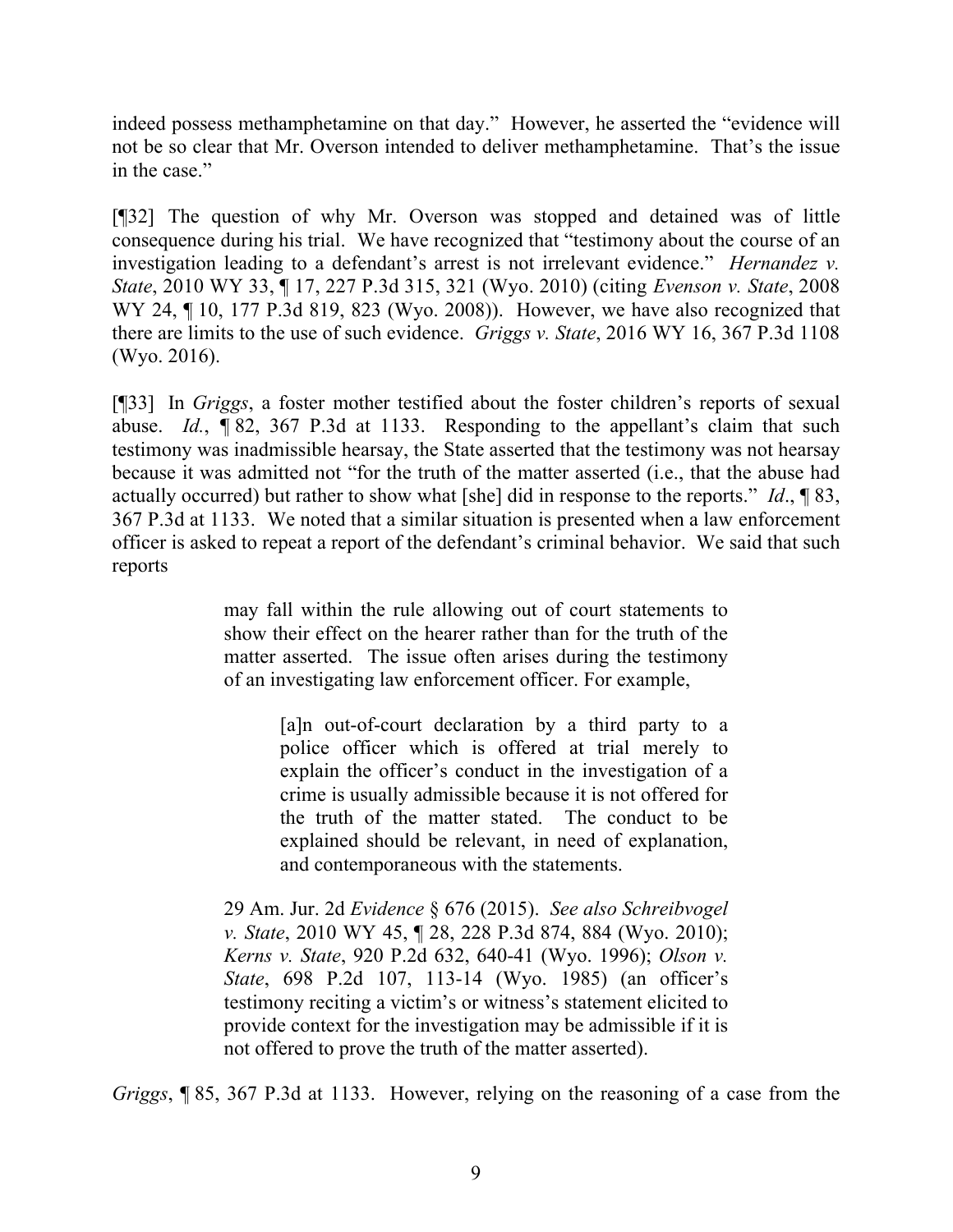indeed possess methamphetamine on that day." However, he asserted the "evidence will not be so clear that Mr. Overson intended to deliver methamphetamine. That's the issue in the case."

[¶32] The question of why Mr. Overson was stopped and detained was of little consequence during his trial. We have recognized that "testimony about the course of an investigation leading to a defendant's arrest is not irrelevant evidence." *Hernandez v. State*, 2010 WY 33, ¶ 17, 227 P.3d 315, 321 (Wyo. 2010) (citing *Evenson v. State*, 2008 WY 24, ¶ 10, 177 P.3d 819, 823 (Wyo. 2008)). However, we have also recognized that there are limits to the use of such evidence. *Griggs v. State*, 2016 WY 16, 367 P.3d 1108 (Wyo. 2016).

[¶33] In *Griggs*, a foster mother testified about the foster children's reports of sexual abuse. *Id.*, *¶* 82, 367 P.3d at 1133. Responding to the appellant's claim that such testimony was inadmissible hearsay, the State asserted that the testimony was not hearsay because it was admitted not "for the truth of the matter asserted (i.e., that the abuse had actually occurred) but rather to show what [she] did in response to the reports." *Id*., ¶ 83, 367 P.3d at 1133. We noted that a similar situation is presented when a law enforcement officer is asked to repeat a report of the defendant's criminal behavior. We said that such reports

> may fall within the rule allowing out of court statements to show their effect on the hearer rather than for the truth of the matter asserted. The issue often arises during the testimony of an investigating law enforcement officer. For example,

> > [a]n out-of-court declaration by a third party to a police officer which is offered at trial merely to explain the officer's conduct in the investigation of a crime is usually admissible because it is not offered for the truth of the matter stated. The conduct to be explained should be relevant, in need of explanation, and contemporaneous with the statements.

29 Am. Jur. 2d *Evidence* § 676 (2015). *See also Schreibvogel v. State*, 2010 WY 45, ¶ 28, 228 P.3d 874, 884 (Wyo. 2010); *Kerns v. State*, 920 P.2d 632, 640-41 (Wyo. 1996); *Olson v. State*, 698 P.2d 107, 113-14 (Wyo. 1985) (an officer's testimony reciting a victim's or witness's statement elicited to provide context for the investigation may be admissible if it is not offered to prove the truth of the matter asserted).

*Griggs*, ¶ 85, 367 P.3d at 1133. However, relying on the reasoning of a case from the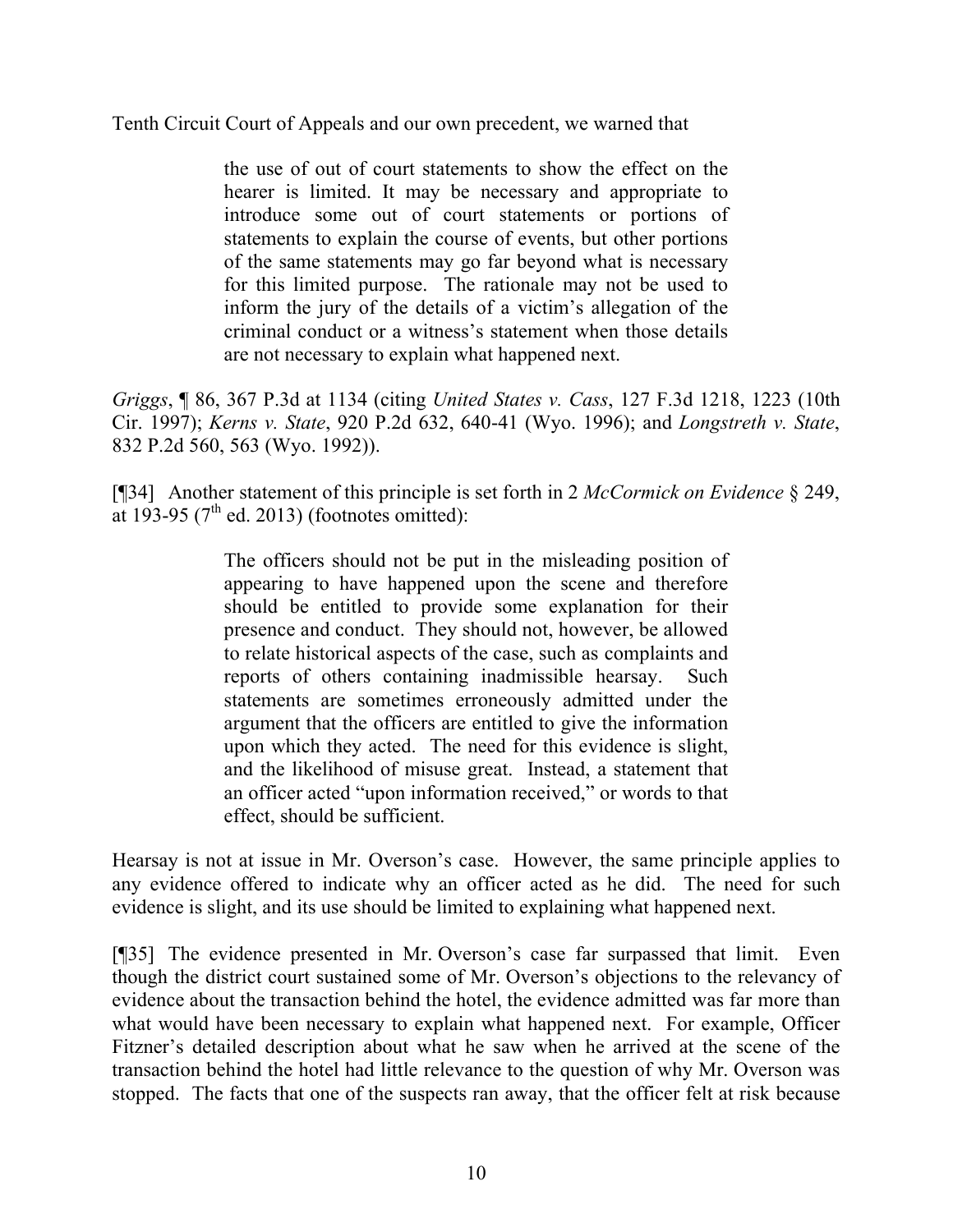Tenth Circuit Court of Appeals and our own precedent, we warned that

the use of out of court statements to show the effect on the hearer is limited. It may be necessary and appropriate to introduce some out of court statements or portions of statements to explain the course of events, but other portions of the same statements may go far beyond what is necessary for this limited purpose. The rationale may not be used to inform the jury of the details of a victim's allegation of the criminal conduct or a witness's statement when those details are not necessary to explain what happened next.

*Griggs*, ¶ 86, 367 P.3d at 1134 (citing *United States v. Cass*, 127 F.3d 1218, 1223 (10th Cir. 1997); *Kerns v. State*, 920 P.2d 632, 640-41 (Wyo. 1996); and *Longstreth v. State*, 832 P.2d 560, 563 (Wyo. 1992)).

[¶34] Another statement of this principle is set forth in 2 *McCormick on Evidence* § 249, at 193-95 ( $7<sup>th</sup>$  ed. 2013) (footnotes omitted):

> The officers should not be put in the misleading position of appearing to have happened upon the scene and therefore should be entitled to provide some explanation for their presence and conduct. They should not, however, be allowed to relate historical aspects of the case, such as complaints and reports of others containing inadmissible hearsay. Such statements are sometimes erroneously admitted under the argument that the officers are entitled to give the information upon which they acted. The need for this evidence is slight, and the likelihood of misuse great. Instead, a statement that an officer acted "upon information received," or words to that effect, should be sufficient.

Hearsay is not at issue in Mr. Overson's case. However, the same principle applies to any evidence offered to indicate why an officer acted as he did. The need for such evidence is slight, and its use should be limited to explaining what happened next.

[¶35] The evidence presented in Mr. Overson's case far surpassed that limit. Even though the district court sustained some of Mr. Overson's objections to the relevancy of evidence about the transaction behind the hotel, the evidence admitted was far more than what would have been necessary to explain what happened next. For example, Officer Fitzner's detailed description about what he saw when he arrived at the scene of the transaction behind the hotel had little relevance to the question of why Mr. Overson was stopped. The facts that one of the suspects ran away, that the officer felt at risk because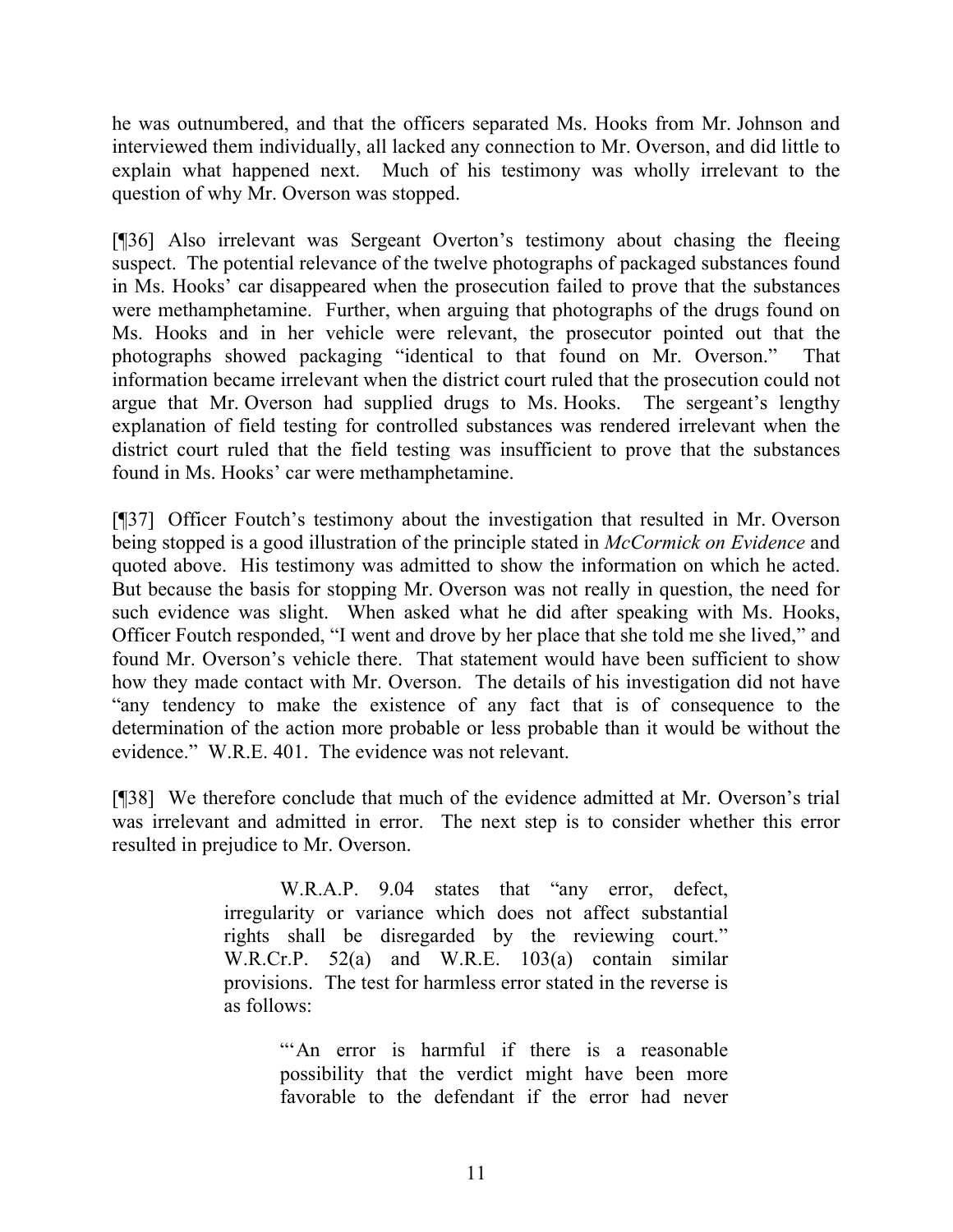he was outnumbered, and that the officers separated Ms. Hooks from Mr. Johnson and interviewed them individually, all lacked any connection to Mr. Overson, and did little to explain what happened next. Much of his testimony was wholly irrelevant to the question of why Mr. Overson was stopped.

[¶36] Also irrelevant was Sergeant Overton's testimony about chasing the fleeing suspect. The potential relevance of the twelve photographs of packaged substances found in Ms. Hooks' car disappeared when the prosecution failed to prove that the substances were methamphetamine. Further, when arguing that photographs of the drugs found on Ms. Hooks and in her vehicle were relevant, the prosecutor pointed out that the photographs showed packaging "identical to that found on Mr. Overson." That information became irrelevant when the district court ruled that the prosecution could not argue that Mr. Overson had supplied drugs to Ms. Hooks. The sergeant's lengthy explanation of field testing for controlled substances was rendered irrelevant when the district court ruled that the field testing was insufficient to prove that the substances found in Ms. Hooks' car were methamphetamine.

[¶37] Officer Foutch's testimony about the investigation that resulted in Mr. Overson being stopped is a good illustration of the principle stated in *McCormick on Evidence* and quoted above. His testimony was admitted to show the information on which he acted. But because the basis for stopping Mr. Overson was not really in question, the need for such evidence was slight. When asked what he did after speaking with Ms. Hooks, Officer Foutch responded, "I went and drove by her place that she told me she lived," and found Mr. Overson's vehicle there. That statement would have been sufficient to show how they made contact with Mr. Overson. The details of his investigation did not have "any tendency to make the existence of any fact that is of consequence to the determination of the action more probable or less probable than it would be without the evidence." W.R.E. 401. The evidence was not relevant.

[¶38] We therefore conclude that much of the evidence admitted at Mr. Overson's trial was irrelevant and admitted in error. The next step is to consider whether this error resulted in prejudice to Mr. Overson.

> W.R.A.P. 9.04 states that "any error, defect, irregularity or variance which does not affect substantial rights shall be disregarded by the reviewing court." W.R.Cr.P. 52(a) and W.R.E. 103(a) contain similar provisions. The test for harmless error stated in the reverse is as follows:

> > "An error is harmful if there is a reasonable possibility that the verdict might have been more favorable to the defendant if the error had never